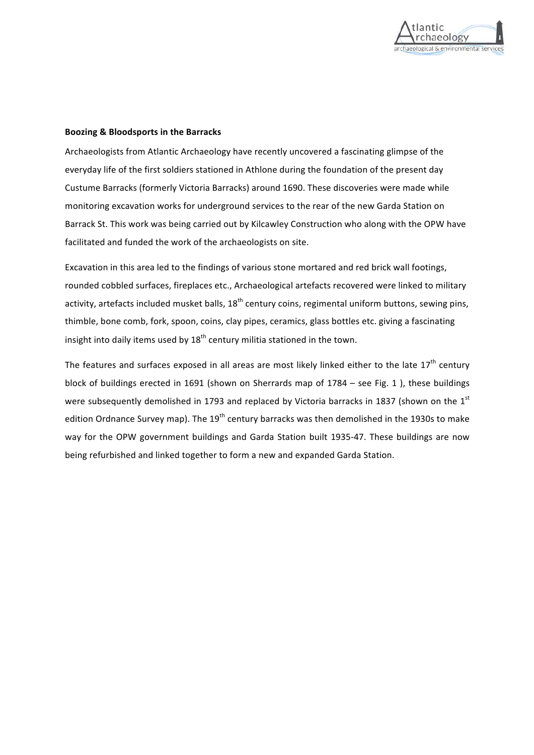

## **Boozing & Bloodsports in the Barracks**

Archaeologists from Atlantic Archaeology have recently uncovered a fascinating glimpse of the everyday life of the first soldiers stationed in Athlone during the foundation of the present day Custume Barracks (formerly Victoria Barracks) around 1690. These discoveries were made while monitoring excavation works for underground services to the rear of the new Garda Station on Barrack St. This work was being carried out by Kilcawley Construction who along with the OPW have facilitated and funded the work of the archaeologists on site.

Excavation in this area led to the findings of various stone mortared and red brick wall footings, rounded cobbled surfaces, fireplaces etc., Archaeological artefacts recovered were linked to military activity, artefacts included musket balls,  $18<sup>th</sup>$  century coins, regimental uniform buttons, sewing pins, thimble, bone comb, fork, spoon, coins, clay pipes, ceramics, glass bottles etc. giving a fascinating insight into daily items used by  $18^{th}$  century militia stationed in the town.

The features and surfaces exposed in all areas are most likely linked either to the late  $17<sup>th</sup>$  century block of buildings erected in 1691 (shown on Sherrards map of  $1784 -$  see Fig. 1), these buildings were subsequently demolished in 1793 and replaced by Victoria barracks in 1837 (shown on the  $1<sup>st</sup>$ edition Ordnance Survey map). The  $19<sup>th</sup>$  century barracks was then demolished in the 1930s to make way for the OPW government buildings and Garda Station built 1935-47. These buildings are now being refurbished and linked together to form a new and expanded Garda Station.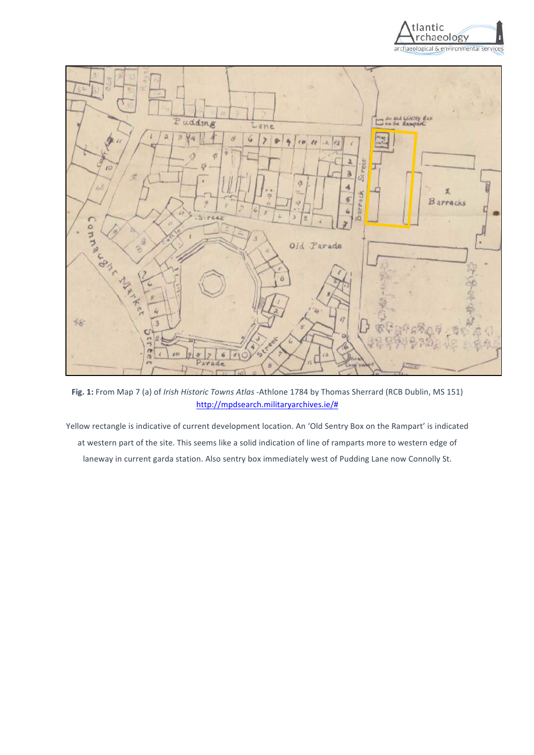



Fig. 1: From Map 7 (a) of *Irish Historic Towns Atlas* -Athlone 1784 by Thomas Sherrard (RCB Dublin, MS 151) http://mpdsearch.militaryarchives.ie/#

Yellow rectangle is indicative of current development location. An 'Old Sentry Box on the Rampart' is indicated at western part of the site. This seems like a solid indication of line of ramparts more to western edge of laneway in current garda station. Also sentry box immediately west of Pudding Lane now Connolly St.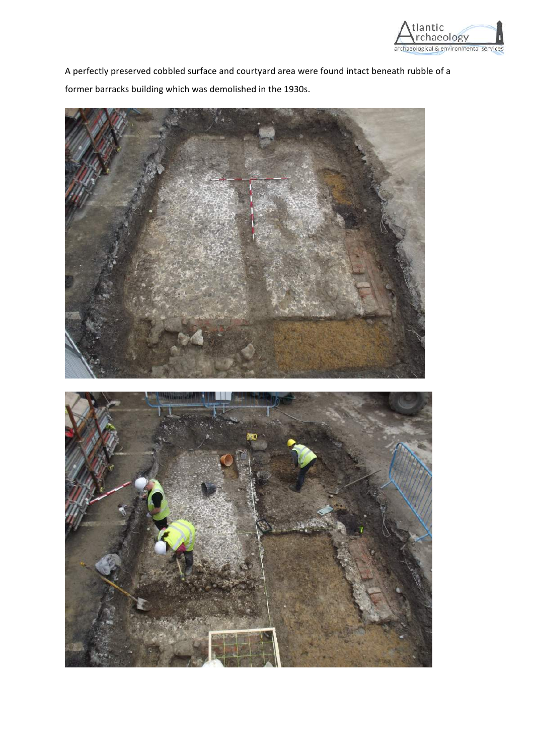

A perfectly preserved cobbled surface and courtyard area were found intact beneath rubble of a former barracks building which was demolished in the 1930s.

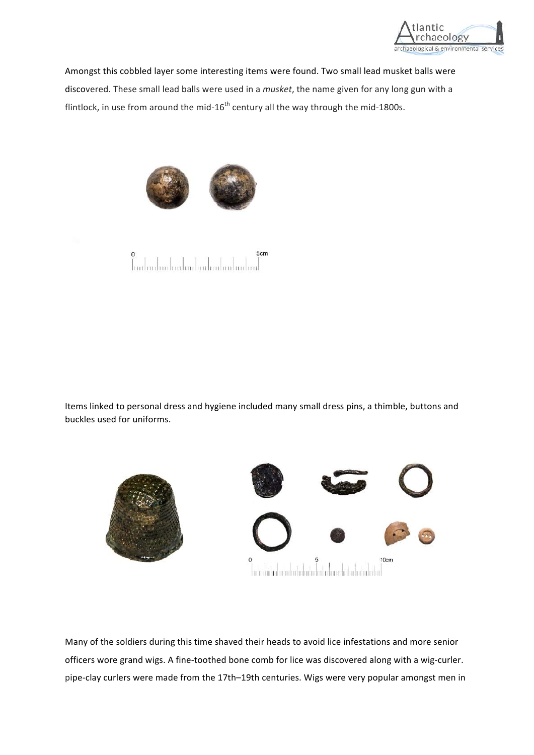

Amongst this cobbled layer some interesting items were found. Two small lead musket balls were discovered. These small lead balls were used in a *musket*, the name given for any long gun with a flintlock, in use from around the mid-16<sup>th</sup> century all the way through the mid-1800s.





Items linked to personal dress and hygiene included many small dress pins, a thimble, buttons and buckles used for uniforms.



Many of the soldiers during this time shaved their heads to avoid lice infestations and more senior officers wore grand wigs. A fine-toothed bone comb for lice was discovered along with a wig-curler. pipe-clay curlers were made from the 17th–19th centuries. Wigs were very popular amongst men in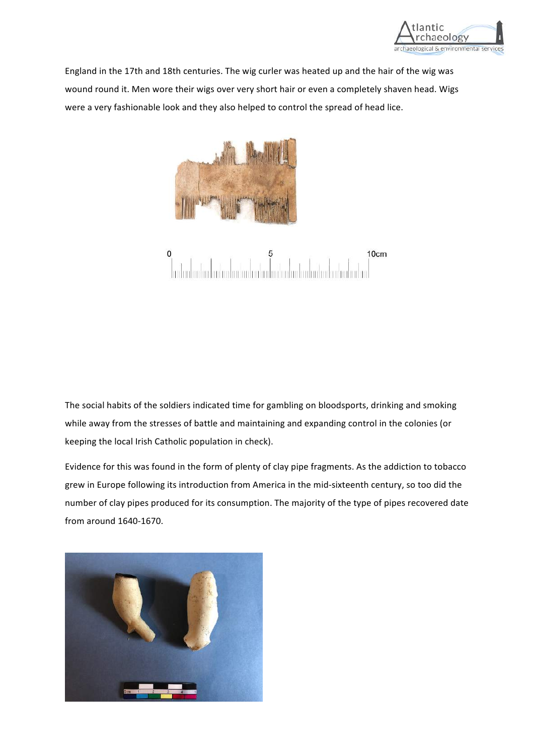

England in the 17th and 18th centuries. The wig curler was heated up and the hair of the wig was wound round it. Men wore their wigs over very short hair or even a completely shaven head. Wigs were a very fashionable look and they also helped to control the spread of head lice.



 $\mathbf 0$ 10cm

The social habits of the soldiers indicated time for gambling on bloodsports, drinking and smoking while away from the stresses of battle and maintaining and expanding control in the colonies (or keeping the local Irish Catholic population in check).

Evidence for this was found in the form of plenty of clay pipe fragments. As the addiction to tobacco grew in Europe following its introduction from America in the mid-sixteenth century, so too did the number of clay pipes produced for its consumption. The majority of the type of pipes recovered date from around 1640-1670. 

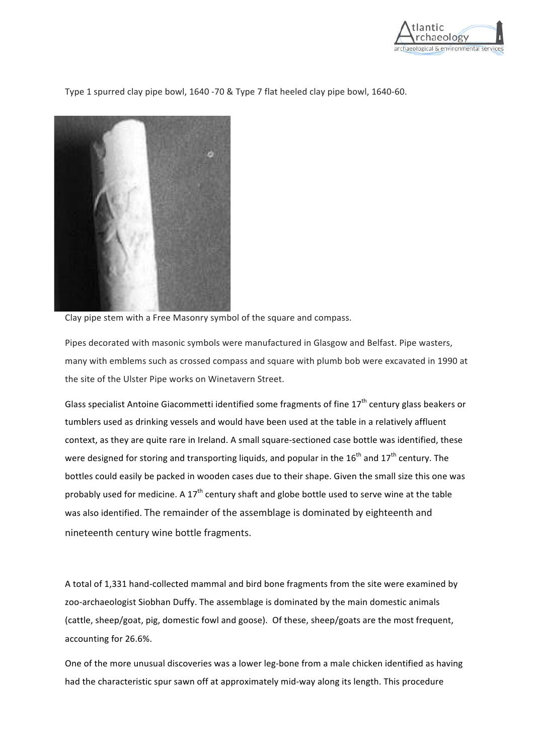

Type 1 spurred clay pipe bowl, 1640 -70 & Type 7 flat heeled clay pipe bowl, 1640-60.



Clay pipe stem with a Free Masonry symbol of the square and compass.

Pipes decorated with masonic symbols were manufactured in Glasgow and Belfast. Pipe wasters, many with emblems such as crossed compass and square with plumb bob were excavated in 1990 at the site of the Ulster Pipe works on Winetavern Street.

Glass specialist Antoine Giacommetti identified some fragments of fine  $17<sup>th</sup>$  century glass beakers or tumblers used as drinking vessels and would have been used at the table in a relatively affluent context, as they are quite rare in Ireland. A small square-sectioned case bottle was identified, these were designed for storing and transporting liquids, and popular in the  $16^{th}$  and  $17^{th}$  century. The bottles could easily be packed in wooden cases due to their shape. Given the small size this one was probably used for medicine. A  $17<sup>th</sup>$  century shaft and globe bottle used to serve wine at the table was also identified. The remainder of the assemblage is dominated by eighteenth and nineteenth century wine bottle fragments.

A total of 1,331 hand-collected mammal and bird bone fragments from the site were examined by zoo-archaeologist Siobhan Duffy. The assemblage is dominated by the main domestic animals (cattle, sheep/goat, pig, domestic fowl and goose). Of these, sheep/goats are the most frequent, accounting for 26.6%.

One of the more unusual discoveries was a lower leg-bone from a male chicken identified as having had the characteristic spur sawn off at approximately mid-way along its length. This procedure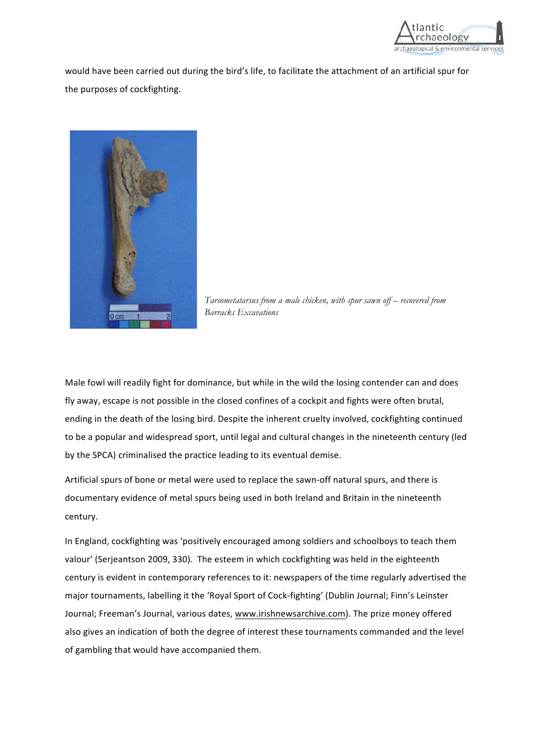

would have been carried out during the bird's life, to facilitate the attachment of an artificial spur for the purposes of cockfighting.



*Tarsometatarsus from a male chicken, with spur sawn off – recovered from Barracks Excavations*

Male fowl will readily fight for dominance, but while in the wild the losing contender can and does fly away, escape is not possible in the closed confines of a cockpit and fights were often brutal, ending in the death of the losing bird. Despite the inherent cruelty involved, cockfighting continued to be a popular and widespread sport, until legal and cultural changes in the nineteenth century (led by the SPCA) criminalised the practice leading to its eventual demise.

Artificial spurs of bone or metal were used to replace the sawn-off natural spurs, and there is documentary evidence of metal spurs being used in both Ireland and Britain in the nineteenth century. 

In England, cockfighting was 'positively encouraged among soldiers and schoolboys to teach them valour' (Serjeantson 2009, 330). The esteem in which cockfighting was held in the eighteenth century is evident in contemporary references to it: newspapers of the time regularly advertised the major tournaments, labelling it the 'Royal Sport of Cock-fighting' (Dublin Journal; Finn's Leinster Journal; Freeman's Journal, various dates, www.irishnewsarchive.com). The prize money offered also gives an indication of both the degree of interest these tournaments commanded and the level of gambling that would have accompanied them.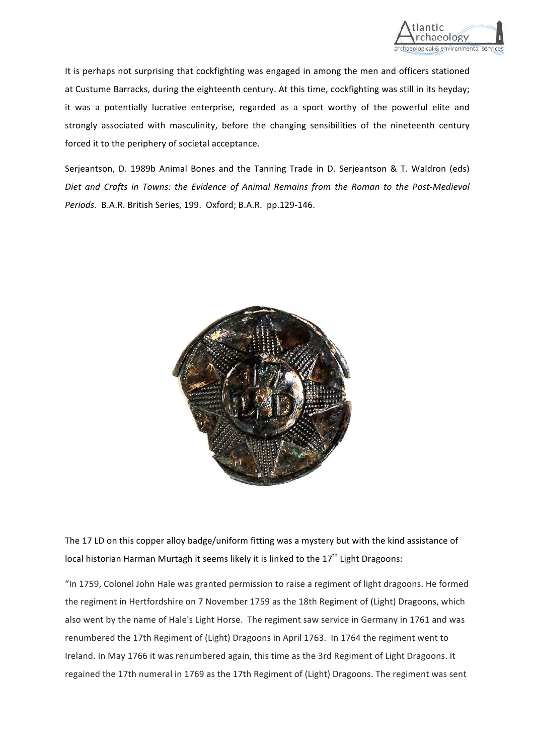

It is perhaps not surprising that cockfighting was engaged in among the men and officers stationed at Custume Barracks, during the eighteenth century. At this time, cockfighting was still in its heyday; it was a potentially lucrative enterprise, regarded as a sport worthy of the powerful elite and strongly associated with masculinity, before the changing sensibilities of the nineteenth century forced it to the periphery of societal acceptance.

Serjeantson, D. 1989b Animal Bones and the Tanning Trade in D. Serjeantson & T. Waldron (eds) Diet and Crafts in Towns: the Evidence of Animal Remains from the Roman to the Post-Medieval Periods. B.A.R. British Series, 199. Oxford; B.A.R. pp.129-146.



The 17 LD on this copper alloy badge/uniform fitting was a mystery but with the kind assistance of local historian Harman Murtagh it seems likely it is linked to the 17<sup>th</sup> Light Dragoons:

"In 1759, Colonel John Hale was granted permission to raise a regiment of light dragoons. He formed the regiment in Hertfordshire on 7 November 1759 as the 18th Regiment of (Light) Dragoons, which also went by the name of Hale's Light Horse. The regiment saw service in Germany in 1761 and was renumbered the 17th Regiment of (Light) Dragoons in April 1763. In 1764 the regiment went to Ireland. In May 1766 it was renumbered again, this time as the 3rd Regiment of Light Dragoons. It regained the 17th numeral in 1769 as the 17th Regiment of (Light) Dragoons. The regiment was sent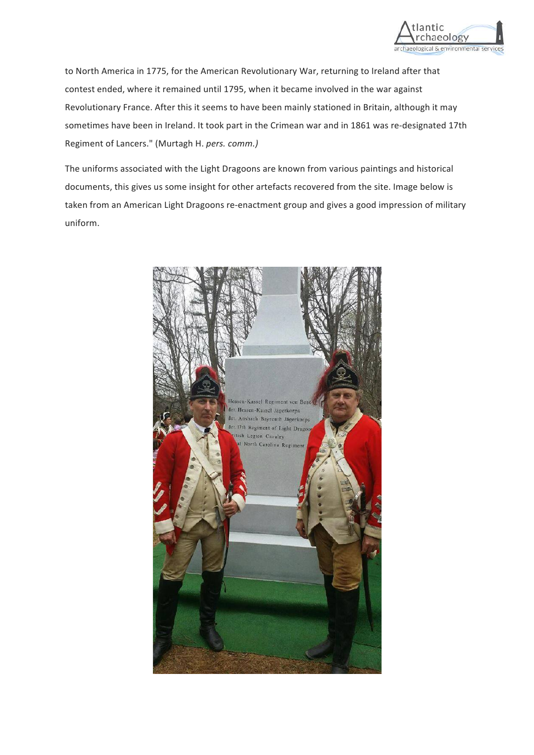

to North America in 1775, for the American Revolutionary War, returning to Ireland after that contest ended, where it remained until 1795, when it became involved in the war against Revolutionary France. After this it seems to have been mainly stationed in Britain, although it may sometimes have been in Ireland. It took part in the Crimean war and in 1861 was re-designated 17th Regiment of Lancers." (Murtagh H. *pers. comm.)*

The uniforms associated with the Light Dragoons are known from various paintings and historical documents, this gives us some insight for other artefacts recovered from the site. Image below is taken from an American Light Dragoons re-enactment group and gives a good impression of military uniform. 

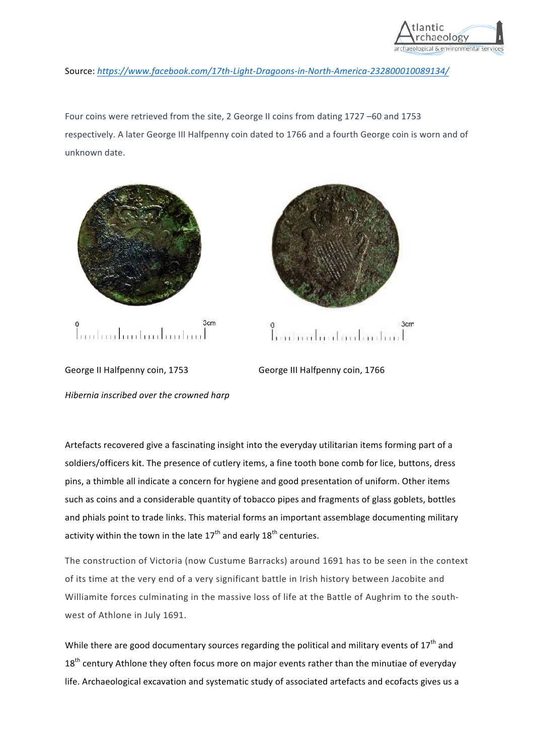

Source: *https://www.facebook.com/17th-Light-Dragoons-in-North-America-232800010089134/*

Four coins were retrieved from the site, 2 George II coins from dating 1727 -60 and 1753 respectively. A later George III Halfpenny coin dated to 1766 and a fourth George coin is worn and of unknown date.





George II Halfpenny coin, 1753 George III Halfpenny coin, 1766 *Hibernia inscribed over the crowned harp* 

Artefacts recovered give a fascinating insight into the everyday utilitarian items forming part of a soldiers/officers kit. The presence of cutlery items, a fine tooth bone comb for lice, buttons, dress pins, a thimble all indicate a concern for hygiene and good presentation of uniform. Other items such as coins and a considerable quantity of tobacco pipes and fragments of glass goblets, bottles and phials point to trade links. This material forms an important assemblage documenting military activity within the town in the late  $17<sup>th</sup>$  and early  $18<sup>th</sup>$  centuries.

The construction of Victoria (now Custume Barracks) around 1691 has to be seen in the context of its time at the very end of a very significant battle in Irish history between Jacobite and Williamite forces culminating in the massive loss of life at the Battle of Aughrim to the southwest of Athlone in July 1691.

While there are good documentary sources regarding the political and military events of  $17^{\text{th}}$  and  $18<sup>th</sup>$  century Athlone they often focus more on major events rather than the minutiae of everyday life. Archaeological excavation and systematic study of associated artefacts and ecofacts gives us a